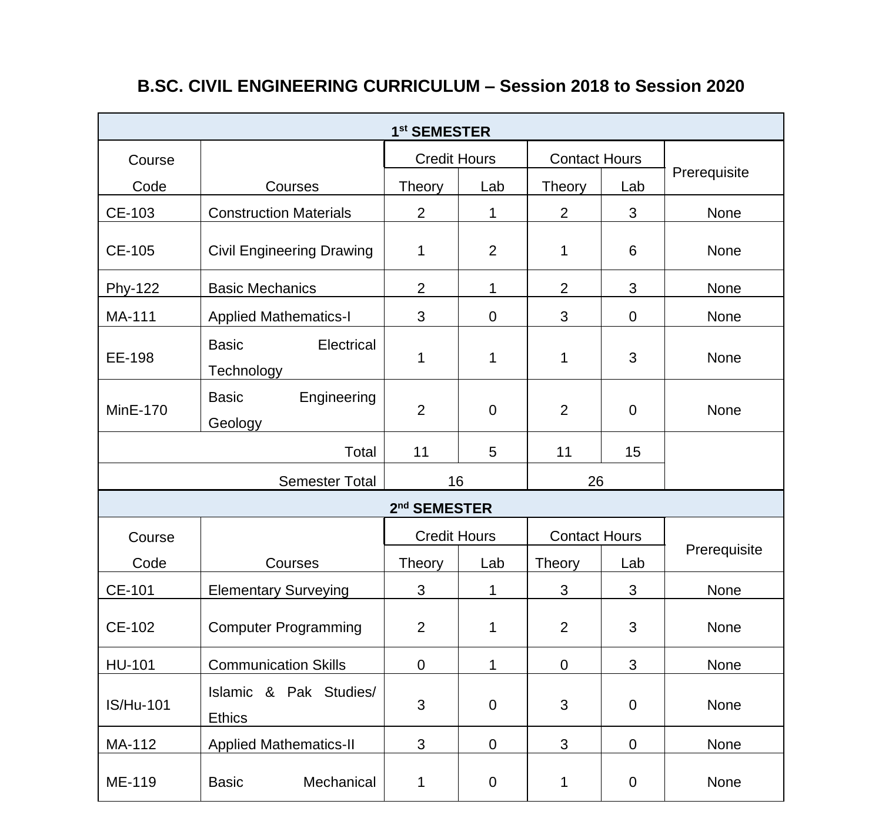| 1 <sup>st</sup> SEMESTER |                                          |                          |                                             |                      |             |              |
|--------------------------|------------------------------------------|--------------------------|---------------------------------------------|----------------------|-------------|--------------|
| Course                   |                                          |                          | <b>Credit Hours</b><br><b>Contact Hours</b> |                      |             |              |
| Code                     | Courses                                  | Theory                   | Lab                                         | Theory               | Lab         | Prerequisite |
| CE-103                   | <b>Construction Materials</b>            | $\overline{2}$           | $\mathbf{1}$                                | $\overline{2}$       | 3           | None         |
| CE-105                   | <b>Civil Engineering Drawing</b>         | $\mathbf{1}$             | $\overline{2}$                              | 1                    | 6           | None         |
| Phy-122                  | <b>Basic Mechanics</b>                   | $\overline{2}$           | 1                                           | $\overline{2}$       | 3           | None         |
| MA-111                   | <b>Applied Mathematics-I</b>             | 3                        | $\mathbf 0$                                 | 3                    | 0           | None         |
| EE-198                   | <b>Basic</b><br>Electrical<br>Technology | 1                        | 1                                           | 1                    | 3           | None         |
| <b>MinE-170</b>          | <b>Basic</b><br>Engineering<br>Geology   | $\overline{2}$           | $\mathbf 0$                                 | $\overline{2}$       | $\mathbf 0$ | None         |
|                          | Total                                    | 11                       | 5                                           | 11                   | 15          |              |
| Semester Total           |                                          | 16                       |                                             | 26                   |             |              |
|                          |                                          | 2 <sup>nd</sup> SEMESTER |                                             |                      |             |              |
| Course                   |                                          | <b>Credit Hours</b>      |                                             | <b>Contact Hours</b> |             |              |
| Code                     | Courses                                  | Theory                   | Lab                                         | <b>Theory</b>        | Lab         | Prerequisite |
| CE-101                   | <b>Elementary Surveying</b>              | 3                        | 1                                           | 3                    | 3           | None         |
| CE-102                   | <b>Computer Programming</b>              | $\overline{2}$           | 1                                           | $\overline{2}$       | 3           | None         |
| HU-101                   | <b>Communication Skills</b>              | 0                        | $\mathbf{1}$                                | $\mathbf 0$          | 3           | None         |
| <b>IS/Hu-101</b>         | Islamic & Pak Studies/<br>Ethics         | 3                        | $\mathbf 0$                                 | 3                    | $\mathbf 0$ | None         |
| MA-112                   | <b>Applied Mathematics-II</b>            | 3                        | 0                                           | 3                    | 0           | None         |
| ME-119                   | Mechanical<br>Basic                      | 1                        | 0                                           | 1                    | 0           | None         |

## **B.SC. CIVIL ENGINEERING CURRICULUM – Session 2018 to Session 2020**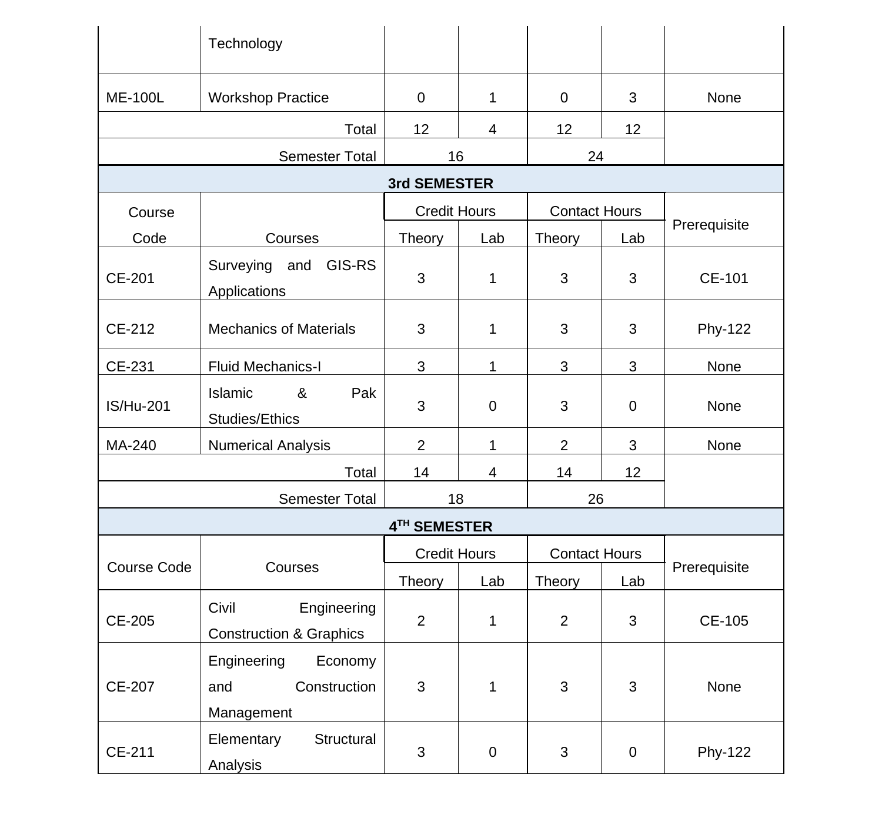|                  | Technology                                                  |                     |                |                      |     |              |
|------------------|-------------------------------------------------------------|---------------------|----------------|----------------------|-----|--------------|
| <b>ME-100L</b>   | <b>Workshop Practice</b>                                    | 0                   | $\mathbf{1}$   | 0                    | 3   | None         |
|                  | Total                                                       | 12                  | $\overline{4}$ | 12                   | 12  |              |
|                  | Semester Total                                              | 16                  |                | 24                   |     |              |
|                  |                                                             | 3rd SEMESTER        |                |                      |     |              |
| Course           |                                                             | <b>Credit Hours</b> |                | <b>Contact Hours</b> |     |              |
| Code             | Courses                                                     | Theory              | Lab            | Theory               | Lab | Prerequisite |
| CE-201           | Surveying and GIS-RS<br>Applications                        | 3                   | $\mathbf{1}$   | 3                    | 3   | CE-101       |
| CE-212           | <b>Mechanics of Materials</b>                               | 3                   | $\mathbf{1}$   | 3                    | 3   | Phy-122      |
| CE-231           | Fluid Mechanics-I                                           | 3                   | $\mathbf{1}$   | 3                    | 3   | None         |
| <b>IS/Hu-201</b> | Islamic<br>&<br>Pak<br>Studies/Ethics                       | 3                   | $\mathbf 0$    | 3                    | 0   | None         |
| MA-240           | Numerical Analysis                                          | 2                   | $\mathbf 1$    | $\overline{2}$       | 3   | None         |
|                  | Total                                                       | 14                  | 4              | 14                   | 12  |              |
| Semester Total   |                                                             | 18                  |                | 26                   |     |              |
|                  |                                                             | 4TH SEMESTER        |                |                      |     |              |
|                  |                                                             | <b>Credit Hours</b> |                | <b>Contact Hours</b> |     |              |
| Course Code      | Courses                                                     | Theory              | Lab            | Theory               | Lab | Prerequisite |
| CE-205           | Civil<br>Engineering<br><b>Construction &amp; Graphics</b>  | $\overline{2}$      | $\mathbf{1}$   | $\overline{2}$       | 3   | CE-105       |
| CE-207           | Engineering<br>Economy<br>Construction<br>and<br>Management | 3                   | $\mathbf{1}$   | 3                    | 3   | None         |
| CE-211           | Structural<br>Elementary<br>Analysis                        | 3                   | 0              | 3                    | 0   | Phy-122      |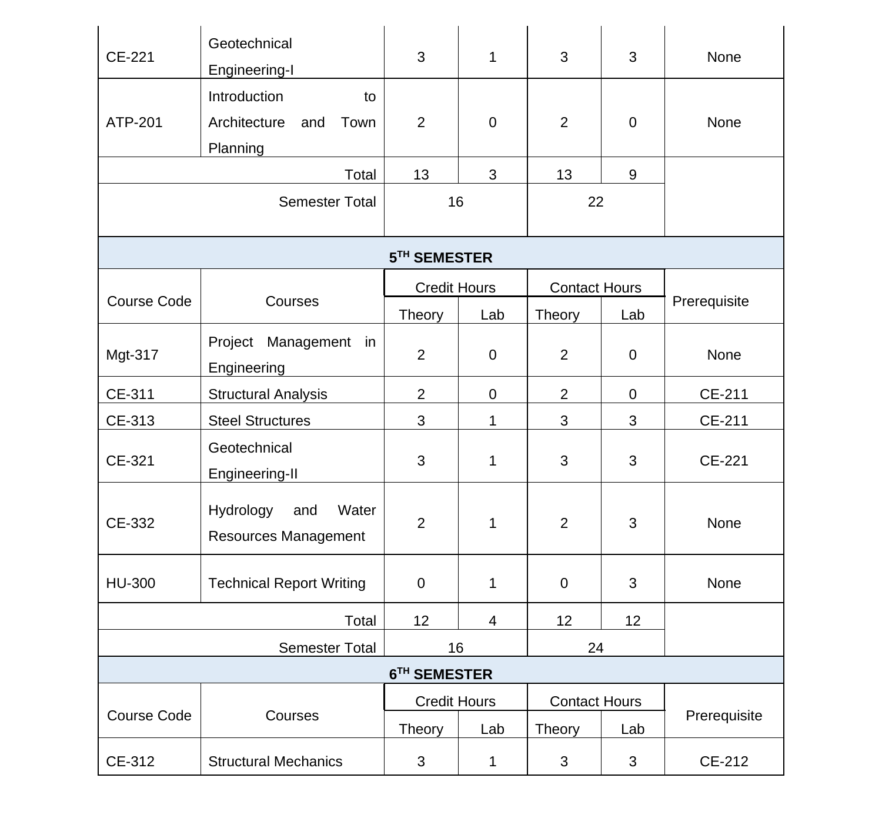| CE-221         | Geotechnical<br>Engineering-I                                 | 3                   | 1                   | 3                    | 3                    | None         |  |
|----------------|---------------------------------------------------------------|---------------------|---------------------|----------------------|----------------------|--------------|--|
| ATP-201        | Introduction<br>to<br>Architecture<br>and<br>Town<br>Planning | $\overline{2}$      | 0                   | $\overline{2}$       | 0                    | None         |  |
|                | Total                                                         | 13                  | 3                   | 13                   | 9                    |              |  |
|                | Semester Total                                                | 16                  |                     | 22                   |                      |              |  |
|                |                                                               | 5TH SEMESTER        |                     |                      |                      |              |  |
|                |                                                               | <b>Credit Hours</b> |                     | <b>Contact Hours</b> |                      |              |  |
| Course Code    | Courses                                                       | Theory              | Lab                 | Theory               | Lab                  | Prerequisite |  |
| Mgt-317        | Project Management in<br>Engineering                          | $\overline{2}$      | $\mathbf 0$         | $\overline{2}$       | 0                    | None         |  |
| CE-311         | <b>Structural Analysis</b>                                    | $\overline{2}$      | $\pmb{0}$           | $\overline{2}$       | 0                    | CE-211       |  |
| CE-313         | <b>Steel Structures</b>                                       | 3                   | 1                   | 3                    | 3                    | CE-211       |  |
| CE-321         | Geotechnical<br>Engineering-II                                | 3                   | 1                   | 3                    | 3                    | CE-221       |  |
| CE-332         | Hydrology<br>and<br>Water<br>Resources Management             | $\overline{2}$      | 1                   | $\overline{2}$       | 3                    | None         |  |
| HU-300         | <b>Technical Report Writing</b>                               | $\mathbf 0$         | $\mathbf{1}$        | $\mathbf 0$          | 3                    | None         |  |
|                | Total                                                         | 12                  | 4                   | 12                   | 12                   |              |  |
| Semester Total |                                                               | 16                  |                     | 24                   |                      |              |  |
| 6TH SEMESTER   |                                                               |                     |                     |                      |                      |              |  |
| Course Code    | Courses                                                       |                     | <b>Credit Hours</b> |                      | <b>Contact Hours</b> | Prerequisite |  |
|                |                                                               | Theory              | Lab                 | Theory               | Lab                  |              |  |
| CE-312         | <b>Structural Mechanics</b>                                   | 3                   | $\mathbf{1}$        | 3                    | 3                    | CE-212       |  |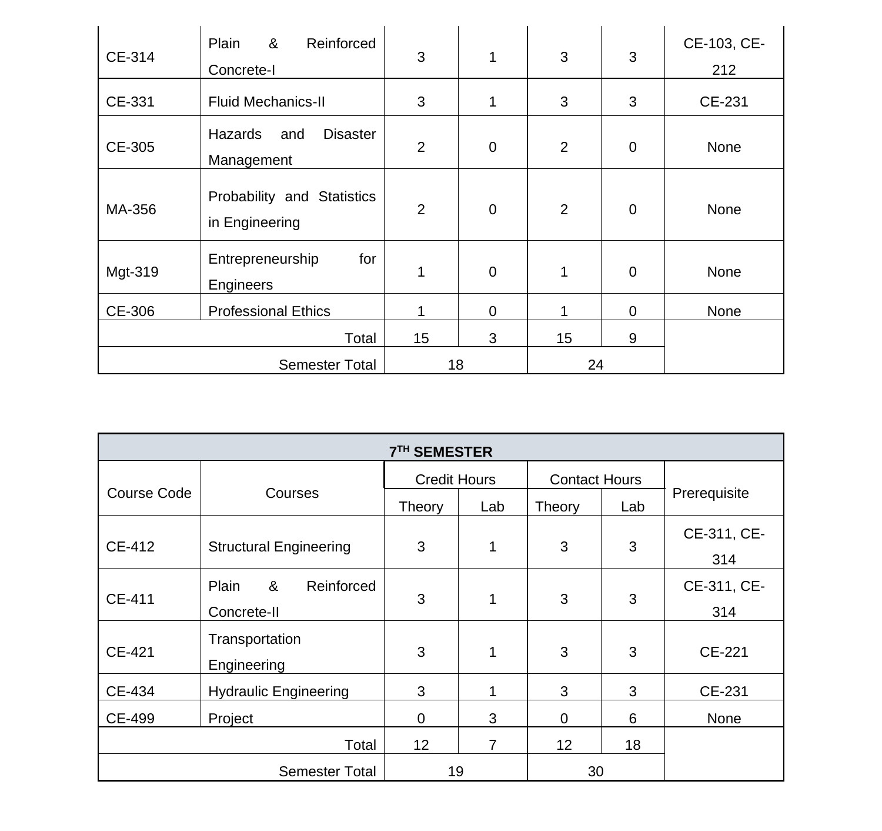| CE-314         | &<br>Reinforced<br>Plain<br>Concrete-I          | 3              | 1              | 3              | 3 | CE-103, CE-<br>212 |
|----------------|-------------------------------------------------|----------------|----------------|----------------|---|--------------------|
| CE-331         | <b>Fluid Mechanics-II</b>                       | 3              | 1              | 3              | 3 | CE-231             |
| CE-305         | Hazards<br><b>Disaster</b><br>and<br>Management | $\overline{2}$ | $\mathbf 0$    | $\overline{2}$ | 0 | None               |
| MA-356         | Probability and Statistics<br>in Engineering    | $\overline{2}$ | $\mathbf 0$    | $\overline{2}$ | 0 | None               |
| Mgt-319        | Entrepreneurship<br>for<br>Engineers            | 1              | $\overline{0}$ | 1              | 0 | None               |
| CE-306         | <b>Professional Ethics</b>                      |                | 0              | 1              | 0 | None               |
|                | Total                                           | 15             | 3              | 15             | 9 |                    |
| Semester Total |                                                 | 18             |                | 24             |   |                    |

| <b>7TH SEMESTER</b> |                                         |                     |     |                      |     |                    |  |  |
|---------------------|-----------------------------------------|---------------------|-----|----------------------|-----|--------------------|--|--|
|                     |                                         | <b>Credit Hours</b> |     | <b>Contact Hours</b> |     |                    |  |  |
| Course Code         | Courses                                 | Theory              | Lab | <b>Theory</b>        | Lab | Prerequisite       |  |  |
| CE-412              | <b>Structural Engineering</b>           | 3                   | 1   | 3                    | 3   | CE-311, CE-<br>314 |  |  |
| CE-411              | &<br>Reinforced<br>Plain<br>Concrete-II | 3                   | 1   | 3                    | 3   | CE-311, CE-<br>314 |  |  |
| CE-421              | Transportation<br>Engineering           | 3                   | 1   | 3                    | 3   | CE-221             |  |  |
| CE-434              | <b>Hydraulic Engineering</b>            | 3                   | 1   | 3                    | 3   | CE-231             |  |  |
| CE-499              | Project                                 | 0                   | 3   | $\Omega$             | 6   | <b>None</b>        |  |  |
|                     | Total                                   | 12                  | 7   | 12                   | 18  |                    |  |  |
|                     | 19                                      |                     | 30  |                      |     |                    |  |  |